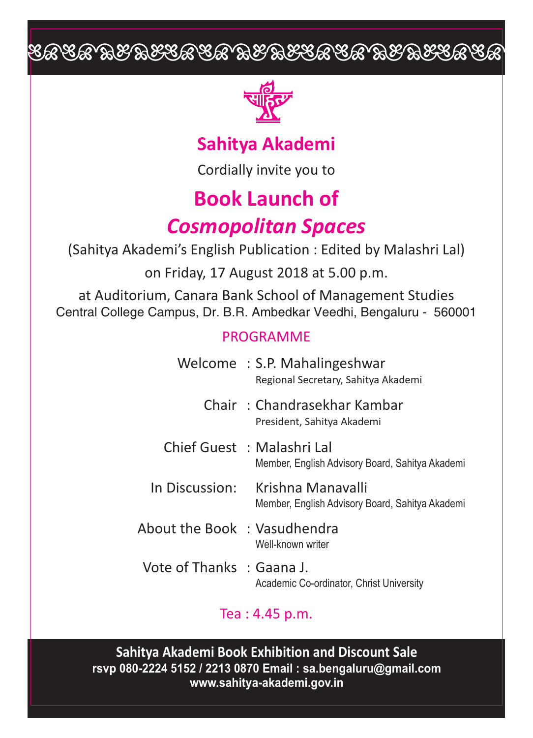# EACA BEBECACA BEBECACA BEBECACA



### **Sahitya Akademi**

Cordially invite you to

# **Book Launch of**

## *Cosmopolitan Spaces*

(Sahitya Akademi's English Publication : Edited by Malashri Lal) on Friday, 17 August 2018 at 5.00 p.m.

at Auditorium, Canara Bank School of Management Studies Central College Campus, Dr. B.R. Ambedkar Veedhi, Bengaluru - 560001

#### PROGRAMME

|                              | Welcome: S.P. Mahalingeshwar<br>Regional Secretary, Sahitya Akademi                 |
|------------------------------|-------------------------------------------------------------------------------------|
|                              | Chair: Chandrasekhar Kambar<br>President, Sahitya Akademi                           |
|                              | Chief Guest: Malashri Lal<br>Member, English Advisory Board, Sahitya Akademi        |
|                              | In Discussion: Krishna Manavalli<br>Member, English Advisory Board, Sahitya Akademi |
| About the Book : Vasudhendra | Well-known writer                                                                   |
| Vote of Thanks : Gaana J.    | Academic Co-ordinator, Christ University                                            |

### Tea : 4.45 p.m.

**Sahitya Akademi Book Exhibition and Discount Sale rsvp 080-2224 5152 / 2213 0870 Email : sa.bengaluru@gmail.com www.sahitya-akademi.gov.in**